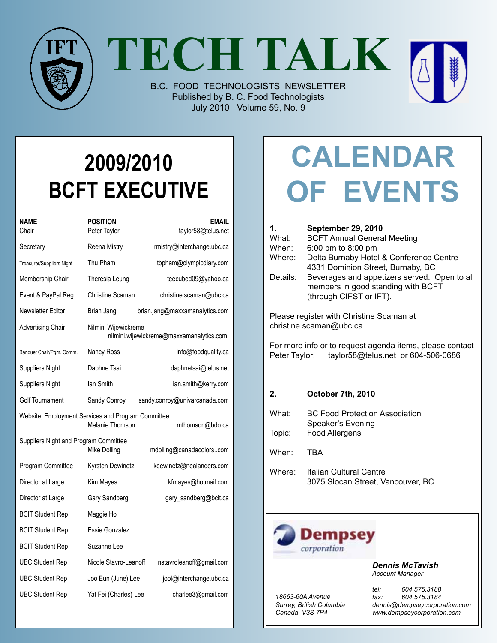

**TECH TALK**

B.C. FOOD TECHNOLOGISTS NEWSLETTER Published by B. C. Food Technologists July 2010 Volume 59, No. 9



| NAME<br>Chair                                                                            | POSITION<br>Peter Taylor                                         | <b>EMAIL</b><br>taylor58@telus.net |  |  |
|------------------------------------------------------------------------------------------|------------------------------------------------------------------|------------------------------------|--|--|
| Secretary                                                                                | Reena Mistry                                                     | rmistry@interchange.ubc.ca         |  |  |
| Treasurer/Suppliers Night                                                                | Thu Pham                                                         | tbpham@olympicdiary.com            |  |  |
| Membership Chair                                                                         | Theresia Leung                                                   | teecubed09@yahoo.ca                |  |  |
| Event & PayPal Reg.                                                                      | Christine Scaman                                                 | christine.scaman@ubc.ca            |  |  |
| Newsletter Editor                                                                        | Brian Jang                                                       | brian.jang@maxxamanalytics.com     |  |  |
| <b>Advertising Chair</b>                                                                 | Nilmini Wijewickreme<br>nilmini.wijewickreme@maxxamanalytics.com |                                    |  |  |
| Banquet Chair/Pgm. Comm.                                                                 | Nancy Ross                                                       | info@foodquality.ca                |  |  |
| <b>Suppliers Night</b>                                                                   | Daphne Tsai                                                      | daphnetsai@telus.net               |  |  |
| <b>Suppliers Night</b>                                                                   | lan Smith                                                        | ian.smith@kerry.com                |  |  |
| <b>Golf Tournament</b>                                                                   | Sandy Conroy                                                     | sandy.conroy@univarcanada.com      |  |  |
| Website, Employment Services and Program Committee<br>Melanie Thomson<br>mthomson@bdo.ca |                                                                  |                                    |  |  |
| Suppliers Night and Program Committee                                                    | Mike Dolling                                                     | mdolling@canadacolorscom           |  |  |
| Program Committee                                                                        | Kyrsten Dewinetz                                                 | kdewinetz@nealanders.com           |  |  |
| Director at Large                                                                        | Kim Mayes                                                        | kfmayes@hotmail.com                |  |  |
| Director at Large                                                                        | Gary Sandberg                                                    | gary_sandberg@bcit.ca              |  |  |
| <b>BCIT Student Rep</b>                                                                  | Maggie Ho                                                        |                                    |  |  |
| <b>BCIT Student Rep</b>                                                                  | Essie Gonzalez                                                   |                                    |  |  |
| <b>BCIT Student Rep</b>                                                                  | Suzanne Lee                                                      |                                    |  |  |
| <b>UBC Student Rep</b>                                                                   | Nicole Stavro-Leanoff                                            | nstavroleanoff@gmail.com           |  |  |
| <b>UBC Student Rep</b>                                                                   | Joo Eun (June) Lee                                               | jool@interchange.ubc.ca            |  |  |
| <b>UBC Student Rep</b>                                                                   | Yat Fei (Charles) Lee                                            | charlee3@gmail.com                 |  |  |

# **Calendar Of Events**

| 1.<br>What:<br>When:<br>Where:<br>Details:                                                                   | <b>September 29, 2010</b><br><b>BCFT Annual General Meeting</b><br>6:00 pm to 8:00 pm<br>Delta Burnaby Hotel & Conference Centre<br>4331 Dominion Street, Burnaby, BC<br>Beverages and appetizers served. Open to all<br>members in good standing with BCFT<br>(through CIFST or IFT). |  |  |  |
|--------------------------------------------------------------------------------------------------------------|----------------------------------------------------------------------------------------------------------------------------------------------------------------------------------------------------------------------------------------------------------------------------------------|--|--|--|
| Please register with Christine Scaman at<br>christine.scaman@ubc.ca                                          |                                                                                                                                                                                                                                                                                        |  |  |  |
| For more info or to request agenda items, please contact<br>Peter Taylor: taylor58@telus.net or 604-506-0686 |                                                                                                                                                                                                                                                                                        |  |  |  |
| 2 <sub>1</sub>                                                                                               | October 7th, 2010                                                                                                                                                                                                                                                                      |  |  |  |
| What:                                                                                                        | <b>BC Food Protection Association</b><br>Speaker's Evening                                                                                                                                                                                                                             |  |  |  |
| Topic:                                                                                                       | Food Allergens                                                                                                                                                                                                                                                                         |  |  |  |
| When:                                                                                                        | TBA                                                                                                                                                                                                                                                                                    |  |  |  |
| Where:                                                                                                       | <b>Italian Cultural Centre</b><br>3075 Slocan Street, Vancouver, BC                                                                                                                                                                                                                    |  |  |  |



*Dennis McTavish Account Manager*

*18663-60A Avenue Surrey, British Columbia Canada V3S 7P4*

*tel: 604.575.3188 fax: 604.575.3184 dennis@dempseycorporation.com www.dempseycorporation.com*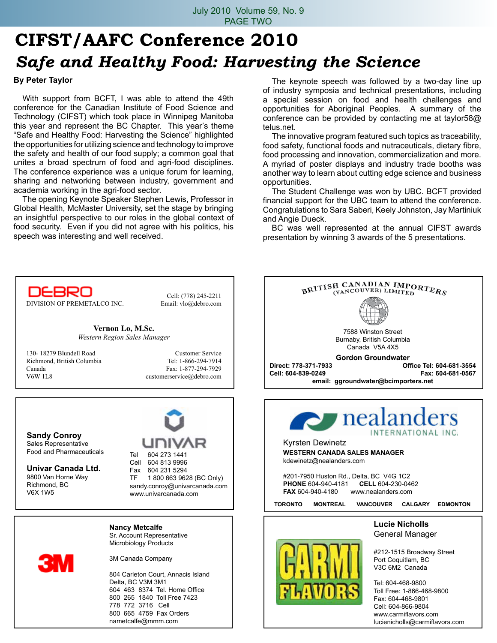# **CIFST/AAFC Conference 2010** *Safe and Healthy Food: Harvesting the Science*

#### **By Peter Taylor**

 With support from BCFT, I was able to attend the 49th conference for the Canadian Institute of Food Science and Technology (CIFST) which took place in Winnipeg Manitoba this year and represent the BC Chapter. This year's theme "Safe and Healthy Food: Harvesting the Science" highlighted the opportunities for utilizing science and technology to improve the safety and health of our food supply; a common goal that unites a broad spectrum of food and agri-food disciplines. The conference experience was a unique forum for learning, sharing and networking between industry, government and academia working in the agri-food sector.

 The opening Keynote Speaker Stephen Lewis, Professor in Global Health, McMaster University, set the stage by bringing an insightful perspective to our roles in the global context of food security. Even if you did not agree with his politics, his speech was interesting and well received.

 The keynote speech was followed by a two-day line up of industry symposia and technical presentations, including a special session on food and health challenges and opportunities for Aboriginal Peoples. A summary of the conference can be provided by contacting me at taylor58@ telus.net.

 The innovative program featured such topics as traceability, food safety, functional foods and nutraceuticals, dietary fibre, food processing and innovation, commercialization and more. A myriad of poster displays and industry trade booths was another way to learn about cutting edge science and business opportunities.

 The Student Challenge was won by UBC. BCFT provided financial support for the UBC team to attend the conference. Congratulations to Sara Saberi, Keely Johnston, Jay Martiniuk and Angie Dueck.

 BC was well represented at the annual CIFST awards presentation by winning 3 awards of the 5 presentations.

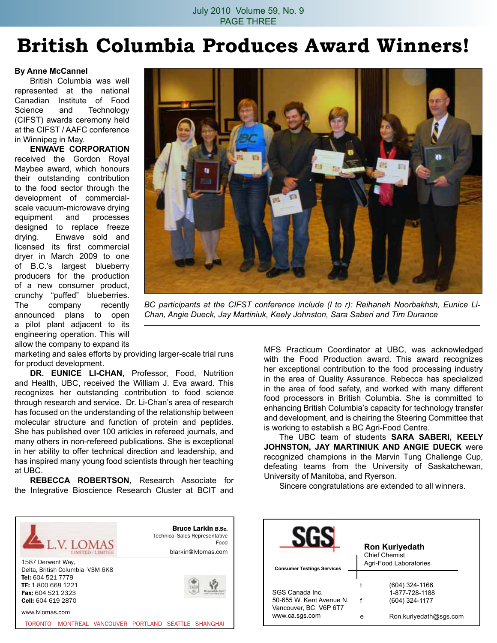# **British Columbia Produces Award Winners!**

#### **By Anne McCannel**

 British Columbia was well represented at the national Canadian Institute of Food Science and Technology (CIFST) awards ceremony held at the CIFST / AAFC conference in Winnipeg in May.

**Enwave Corporation**  received the Gordon Royal Maybee award, which honours their outstanding contribution to the food sector through the development of commercialscale vacuum-microwave drying equipment and processes designed to replace freeze drying. Enwave sold and licensed its first commercial dryer in March 2009 to one of B.C.'s largest blueberry producers for the production of a new consumer product, crunchy "puffed" blueberries. The company recently announced plans to open a pilot plant adjacent to its engineering operation. This will allow the company to expand its



*BC participants at the CIFST conference include (l to r): Reihaneh Noorbakhsh, Eunice Li-Chan, Angie Dueck, Jay Martiniuk, Keely Johnston, Sara Saberi and Tim Durance*

marketing and sales efforts by providing larger-scale trial runs for product development.

**Dr. Eunice Li-Chan**, Professor, Food, Nutrition and Health, UBC, received the William J. Eva award. This recognizes her outstanding contribution to food science through research and service. Dr. Li-Chan's area of research has focused on the understanding of the relationship between molecular structure and function of protein and peptides. She has published over 100 articles in refereed journals, and many others in non-refereed publications. She is exceptional in her ability to offer technical direction and leadership, and has inspired many young food scientists through her teaching at UBC.

**Rebecca Robertson**, Research Associate for the Integrative Bioscience Research Cluster at BCIT and



MFS Practicum Coordinator at UBC, was acknowledged with the Food Production award. This award recognizes her exceptional contribution to the food processing industry in the area of Quality Assurance. Rebecca has specialized in the area of food safety, and worked with many different food processors in British Columbia. She is committed to enhancing British Columbia's capacity for technology transfer and development, and is chairing the Steering Committee that is working to establish a BC Agri-Food Centre.

 The UBC team of students **Sara Saberi, Keely Johnston, Jay Martiniuk and Angie Dueck** were recognized champions in the Marvin Tung Challenge Cup, defeating teams from the University of Saskatchewan, University of Manitoba, and Ryerson.

 Sincere congratulations are extended to all winners.

| <b>Ron Kuriyedath</b><br><b>Chief Chemist</b><br>Agri-Food Laboratories |
|-------------------------------------------------------------------------|
| (604) 324-1166<br>1-877-728-1188<br>(604) 324-1177                      |
|                                                                         |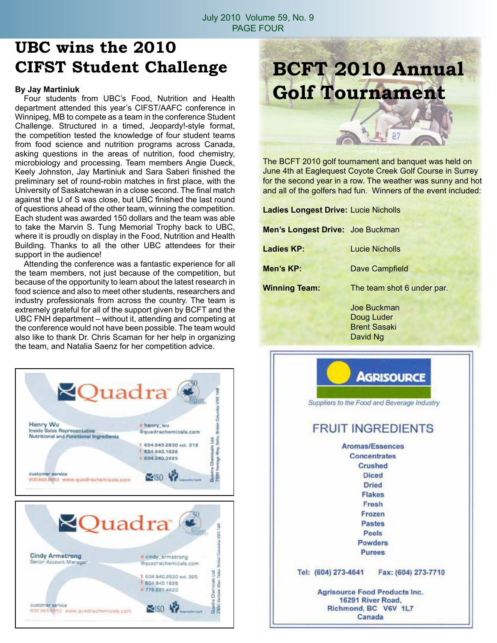### **UBC wins the 2010 CIFST Student Challenge**

#### **By Jay Martiniuk**

 Four students from UBC's Food, Nutrition and Health department attended this year's CIFST/AAFC conference in Winnipeg, MB to compete as a team in the conference Student Challenge. Structured in a timed, Jeopardy!-style format, the competition tested the knowledge of four student teams from food science and nutrition programs across Canada, asking questions in the areas of nutrition, food chemistry, microbiology and processing. Team members Angie Dueck, Keely Johnston, Jay Martiniuk and Sara Saberi finished the preliminary set of round-robin matches in first place, with the University of Saskatchewan in a close second. The final match against the U of S was close, but UBC finished the last round of questions ahead of the other team, winning the competition. Each student was awarded 150 dollars and the team was able to take the Marvin S. Tung Memorial Trophy back to UBC, where it is proudly on display in the Food, Nutrition and Health Building. Thanks to all the other UBC attendees for their support in the audience!

 Attending the conference was a fantastic experience for all the team members, not just because of the competition, but because of the opportunity to learn about the latest research in food science and also to meet other students, researchers and industry professionals from across the country. The team is extremely grateful for all of the support given by BCFT and the UBC FNH department – without it, attending and competing at the conference would not have been possible. The team would also like to thank Dr. Chris Scaman for her help in organizing the team, and Natalia Saenz for her competition advice.





The BCFT 2010 golf tournament and banquet was held on June 4th at Eaglequest Coyote Creek Golf Course in Surrey for the second year in a row. The weather was sunny and hot and all of the golfers had fun. Winners of the event included:

| <b>Ladies Longest Drive: Lucie Nicholls</b> |                                                  |  |  |  |
|---------------------------------------------|--------------------------------------------------|--|--|--|
| <b>Men's Longest Drive: Joe Buckman</b>     |                                                  |  |  |  |
| Ladies KP:                                  | Lucie Nicholls                                   |  |  |  |
| Men's KP:                                   | Dave Campfield                                   |  |  |  |
| <b>Winning Team:</b>                        | The team shot 6 under par.                       |  |  |  |
|                                             | Joe Buckman<br>Doug Luder<br><b>Brent Sasaki</b> |  |  |  |

 David Ng

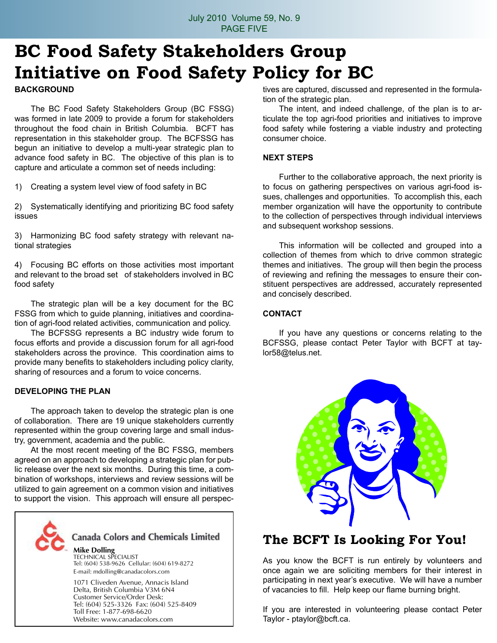## **BC Food Safety Stakeholders Group Initiative on Food Safety Policy for BC**

#### **Background**

 The BC Food Safety Stakeholders Group (BC FSSG) was formed in late 2009 to provide a forum for stakeholders throughout the food chain in British Columbia. BCFT has representation in this stakeholder group. The BCFSSG has begun an initiative to develop a multi-year strategic plan to advance food safety in BC. The objective of this plan is to capture and articulate a common set of needs including:

1) Creating a system level view of food safety in BC

2) Systematically identifying and prioritizing BC food safety issues

3) Harmonizing BC food safety strategy with relevant national strategies

4) Focusing BC efforts on those activities most important and relevant to the broad set of stakeholders involved in BC food safety

 The strategic plan will be a key document for the BC FSSG from which to guide planning, initiatives and coordination of agri-food related activities, communication and policy.

 The BCFSSG represents a BC industry wide forum to focus efforts and provide a discussion forum for all agri-food stakeholders across the province. This coordination aims to provide many benefits to stakeholders including policy clarity, sharing of resources and a forum to voice concerns.

#### **Developing the Plan**

 The approach taken to develop the strategic plan is one of collaboration. There are 19 unique stakeholders currently represented within the group covering large and small industry, government, academia and the public.

 At the most recent meeting of the BC FSSG, members agreed on an approach to developing a strategic plan for public release over the next six months. During this time, a combination of workshops, interviews and review sessions will be utilized to gain agreement on a common vision and initiatives to support the vision. This approach will ensure all perspec-



tives are captured, discussed and represented in the formulation of the strategic plan.

 The intent, and indeed challenge, of the plan is to articulate the top agri-food priorities and initiatives to improve food safety while fostering a viable industry and protecting consumer choice.

#### **Next Steps**

 Further to the collaborative approach, the next priority is to focus on gathering perspectives on various agri-food issues, challenges and opportunities. To accomplish this, each member organization will have the opportunity to contribute to the collection of perspectives through individual interviews and subsequent workshop sessions.

 This information will be collected and grouped into a collection of themes from which to drive common strategic themes and initiatives. The group will then begin the process of reviewing and refining the messages to ensure their constituent perspectives are addressed, accurately represented and concisely described.

#### **Contact**

 If you have any questions or concerns relating to the BCFSSG, please contact Peter Taylor with BCFT at taylor58@telus.net.



### **The BCFT Is Looking For You!**

As you know the BCFT is run entirely by volunteers and once again we are soliciting members for their interest in participating in next year's executive. We will have a number of vacancies to fill. Help keep our flame burning bright.

If you are interested in volunteering please contact Peter Taylor - ptaylor@bcft.ca.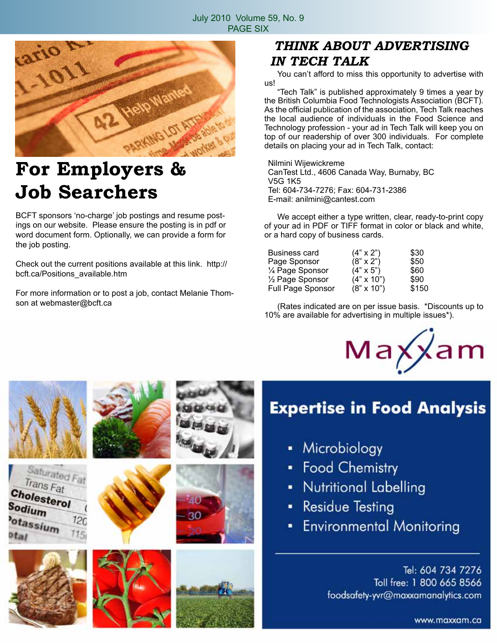

# **For Employers & Job Searchers**

BCFT sponsors 'no-charge' job postings and resume postings on our website. Please ensure the posting is in pdf or word document form. Optionally, we can provide a form for the job posting.

Check out the current positions available at this link. http:// bcft.ca/Positions\_available.htm

For more information or to post a job, contact Melanie Thomson at webmaster@bcft.ca

### *THINK ABOUT ADVERTISING IN TECH TALK*

 You can't afford to miss this opportunity to advertise with us!

 "Tech Talk" is published approximately 9 times a year by the British Columbia Food Technologists Association (BCFT). As the official publication of the association, Tech Talk reaches the local audience of individuals in the Food Science and Technology profession - your ad in Tech Talk will keep you on top of our readership of over 300 individuals. For complete details on placing your ad in Tech Talk, contact:

Nilmini Wijewickreme CanTest Ltd., 4606 Canada Way, Burnaby, BC V5G 1K5 Tel: 604-734-7276; Fax: 604-731-2386 E-mail: anilmini@cantest.com

 We accept either a type written, clear, ready-to-print copy of your ad in PDF or TIFF format in color or black and white, or a hard copy of business cards.

| Business card     | $(4" \times 2")$  | \$30  |
|-------------------|-------------------|-------|
| Page Sponsor      | $(8" \times 2")$  | \$50  |
| 1⁄4 Page Sponsor  | $(4" \times 5")$  | \$60  |
| 1/2 Page Sponsor  | $(4" \times 10")$ | \$90  |
| Full Page Sponsor | $(8" \times 10")$ | \$150 |

 (Rates indicated are on per issue basis. \*Discounts up to 10% are available for advertising in multiple issues\*).























### **Expertise in Food Analysis**

- Microbiology ٠
- **Food Chemistry** ٠
- **Nutritional Labelling**
- **Residue Testing**
- **Environmental Monitoring**

Tel: 604 734 7276 Toll free: 1 800 665 8566 foodsafety-yvr@maxxamanalytics.com

www.maxxam.ca